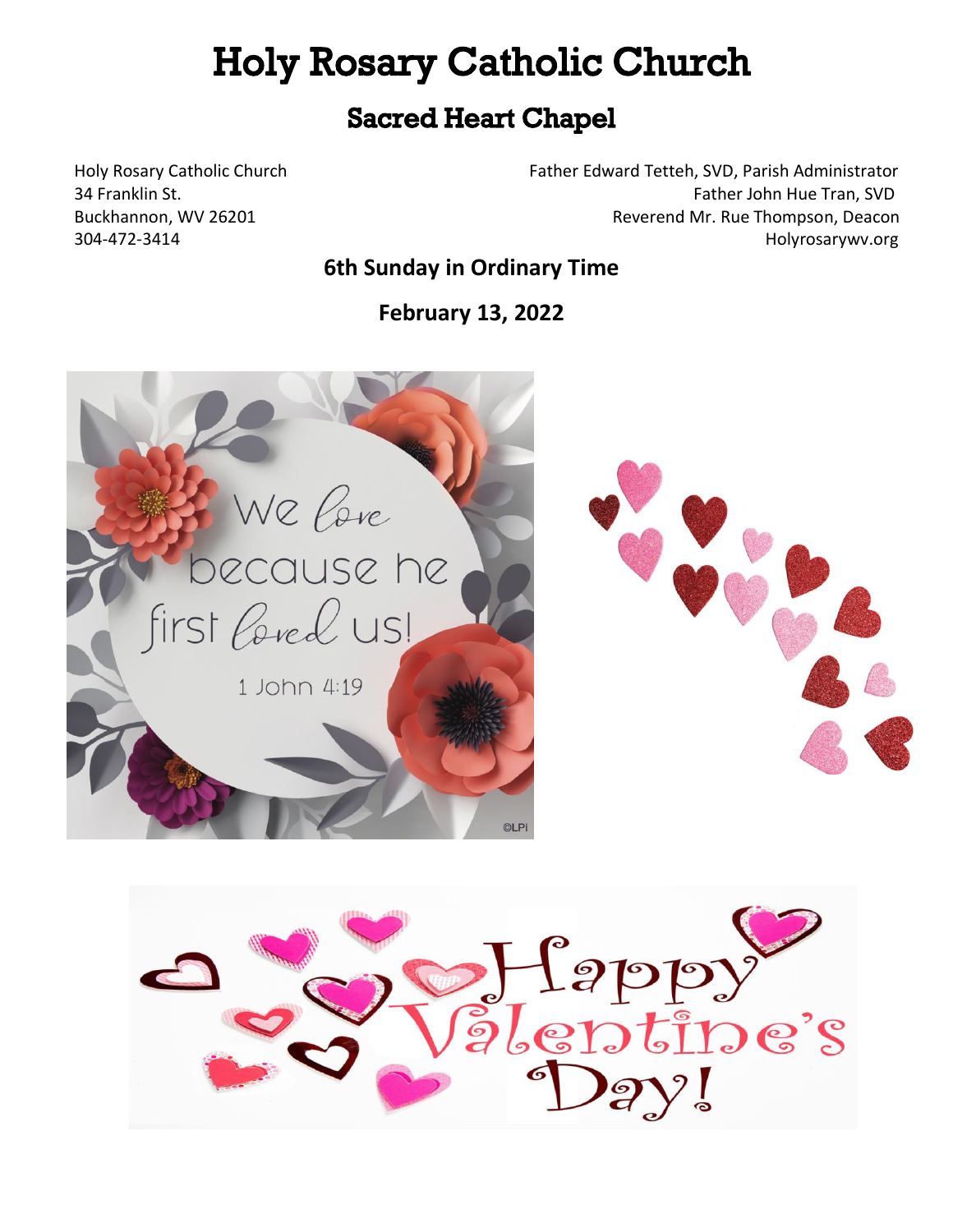# **Holy Rosary Catholic Church**

# ֧֧֚֚֚֚֚֚֚֚֚֚֚֚֚֚֚֚֚֚֚֚֚֚֚֚֚֚֚֚֝֡֡֡֡֡֡֡֡֡֬

Holy Rosary Catholic Church Father Edward Tetteh, SVD, Parish Administrator 34 Franklin St. **Father John Hue Tran, SVD** Father John Hue Tran, SVD Buckhannon, WV 26201 **Reverend Mr. Rue Thompson, Deacon** 304-472-3414 Holyrosarywv.org

## **6th Sunday in Ordinary Time**

**February 13, 2022**



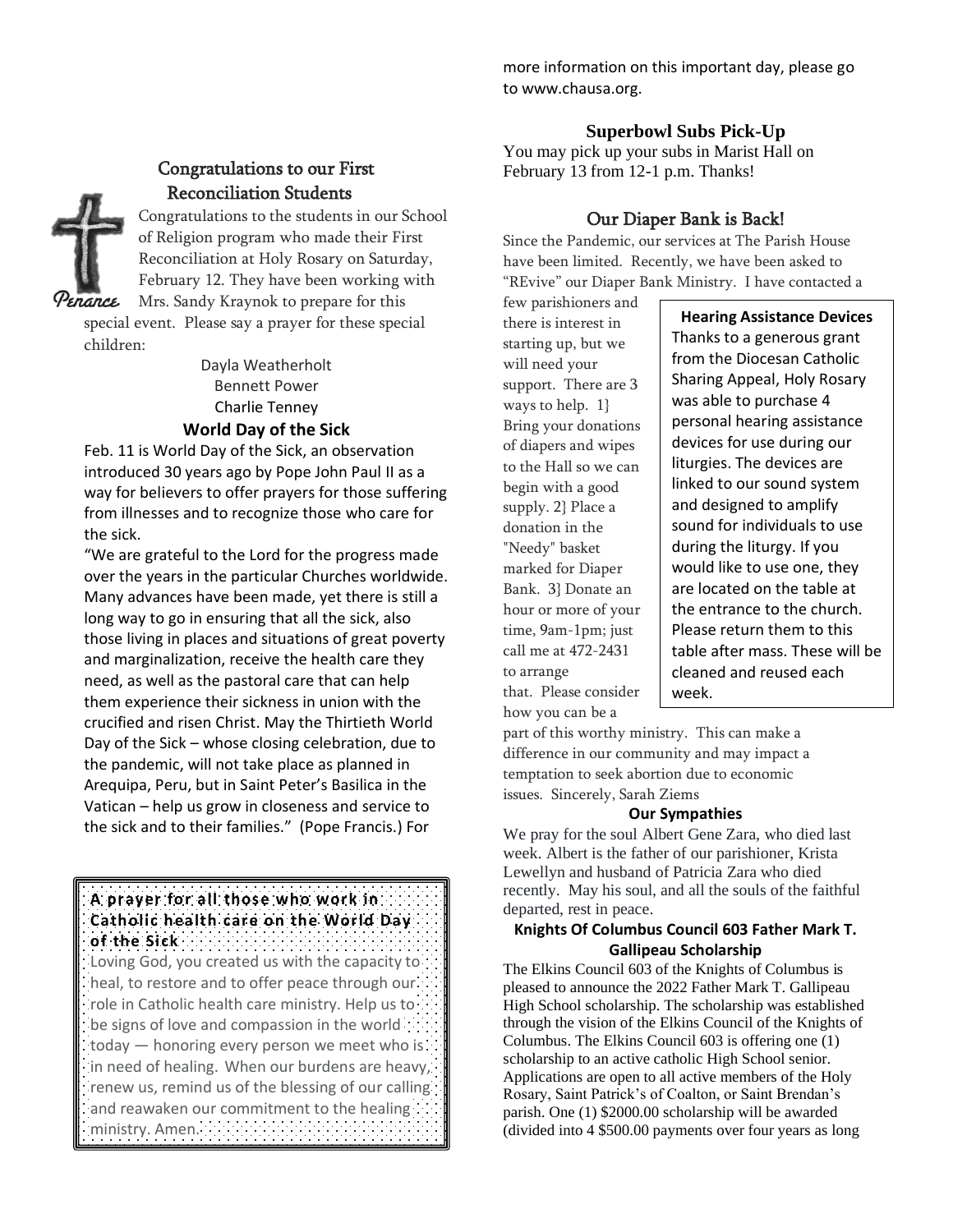### Congratulations to our First Reconciliation Students

Congratulations to the students in our School of Religion program who made their First Reconciliation at Holy Rosary on Saturday, February 12. They have been working with Mrs. Sandy Kraynok to prepare for this

Penance

special event. Please say a prayer for these special children:

> Dayla Weatherholt Bennett Power Charlie Tenney **World Day of the Sick**

Feb. 11 is World Day of the Sick, an observation introduced 30 years ago by Pope John Paul II as a way for believers to offer prayers for those suffering from illnesses and to recognize those who care for the sick.

"We are grateful to the Lord for the progress made over the years in the particular Churches worldwide. Many advances have been made, yet there is still a long way to go in ensuring that all the sick, also those living in places and situations of great poverty and marginalization, receive the health care they need, as well as the pastoral care that can help them experience their sickness in union with the crucified and risen Christ. May the Thirtieth World Day of the Sick – whose closing celebration, due to the pandemic, will not take place as planned in Arequipa, Peru, but in Saint Peter's Basilica in the Vatican – help us grow in closeness and service to the sick and to their families." (Pope Francis.) For

**A prayer for all those who work in Catholic health care on the World Day** 

**of the Sick** Loving God, you created us with the capacity to heal, to restore and to offer peace through our role in Catholic health care ministry. Help us to be signs of love and compassion in the world today — honoring every person we meet who is in need of healing. When our burdens are heavy, renew us, remind us of the blessing of our calling and reawaken our commitment to the healing ministry. Amen.

more information on this important day, please go to www.chausa.org.

#### **Superbowl Subs Pick-Up**

You may pick up your subs in Marist Hall on February 13 from 12-1 p.m. Thanks!

#### Our Diaper Bank is Back!

Since the Pandemic, our services at The Parish House have been limited. Recently, we have been asked to "REvive" our Diaper Bank Ministry. I have contacted a

few parishioners and there is interest in starting up, but we will need your support. There are 3 ways to help. 1} Bring your donations of diapers and wipes to the Hall so we can begin with a good supply. 2} Place a donation in the "Needy" basket marked for Diaper Bank. 3} Donate an hour or more of your time, 9am-1pm; just call me at 472-2431 to arrange that. Please consider how you can be a

**Hearing Assistance Devices** Thanks to a generous grant from the Diocesan Catholic Sharing Appeal, Holy Rosary was able to purchase 4 personal hearing assistance devices for use during our liturgies. The devices are linked to our sound system and designed to amplify sound for individuals to use during the liturgy. If you would like to use one, they are located on the table at the entrance to the church. Please return them to this table after mass. These will be cleaned and reused each week.

part of this worthy ministry. This can make a difference in our community and may impact a temptation to seek abortion due to economic issues. Sincerely, Sarah Ziems

#### **Our Sympathies**

We pray for the soul Albert Gene Zara, who died last week. Albert is the father of our parishioner, Krista Lewellyn and husband of Patricia Zara who died recently. May his soul, and all the souls of the faithful departed, rest in peace.

#### **Knights Of Columbus Council 603 Father Mark T. Gallipeau Scholarship**

The Elkins Council 603 of the Knights of Columbus is pleased to announce the 2022 Father Mark T. Gallipeau High School scholarship. The scholarship was established through the vision of the Elkins Council of the Knights of Columbus. The Elkins Council 603 is offering one (1) scholarship to an active catholic High School senior. Applications are open to all active members of the Holy Rosary, Saint Patrick's of Coalton, or Saint Brendan's parish. One (1) \$2000.00 scholarship will be awarded (divided into 4 \$500.00 payments over four years as long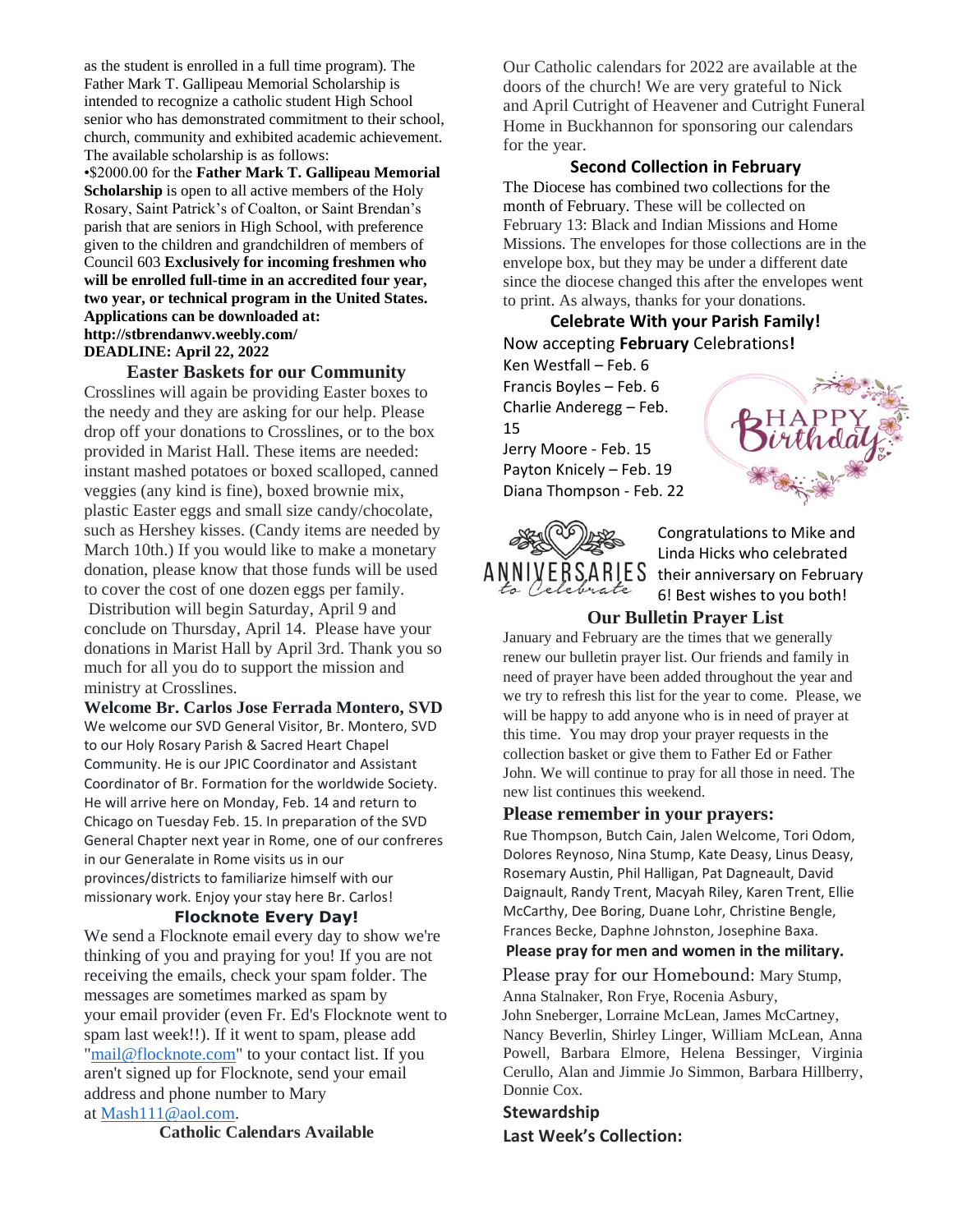as the student is enrolled in a full time program). The Father Mark T. Gallipeau Memorial Scholarship is intended to recognize a catholic student High School senior who has demonstrated commitment to their school, church, community and exhibited academic achievement. The available scholarship is as follows:

•\$2000.00 for the **Father Mark T. Gallipeau Memorial Scholarship** is open to all active members of the Holy Rosary, Saint Patrick's of Coalton, or Saint Brendan's parish that are seniors in High School, with preference given to the children and grandchildren of members of Council 603 **Exclusively for incoming freshmen who will be enrolled full-time in an accredited four year, two year, or technical program in the United States. Applications can be downloaded at: http://stbrendanwv.weebly.com/ DEADLINE: April 22, 2022**

#### **Easter Baskets for our Community**

Crosslines will again be providing Easter boxes to the needy and they are asking for our help. Please drop off your donations to Crosslines, or to the box provided in Marist Hall. These items are needed: instant mashed potatoes or boxed scalloped, canned veggies (any kind is fine), boxed brownie mix, plastic Easter eggs and small size candy/chocolate, such as Hershey kisses. (Candy items are needed by March 10th.) If you would like to make a monetary donation, please know that those funds will be used to cover the cost of one dozen eggs per family. Distribution will begin Saturday, April 9 and conclude on Thursday, April 14. Please have your donations in Marist Hall by April 3rd. Thank you so much for all you do to support the mission and ministry at Crosslines.

**Welcome Br. Carlos Jose Ferrada Montero, SVD** We welcome our SVD General Visitor, Br. Montero, SVD to our Holy Rosary Parish & Sacred Heart Chapel Community. He is our JPIC Coordinator and Assistant Coordinator of Br. Formation for the worldwide Society. He will arrive here on Monday, Feb. 14 and return to Chicago on Tuesday Feb. 15. In preparation of the SVD General Chapter next year in Rome, one of our confreres in our Generalate in Rome visits us in our provinces/districts to familiarize himself with our missionary work. Enjoy your stay here Br. Carlos!

#### **Flocknote Every Day!**

We send a Flocknote email every day to show we're thinking of you and praying for you! If you are not receiving the emails, check your spam folder. The messages are sometimes marked as spam by your email provider (even Fr. Ed's Flocknote went to spam last week!!). If it went to spam, please add ["mail@flocknote.com"](mailto:mail@flocknote.com) to your contact list. If you aren't signed up for Flocknote, send your email address and phone number to Mary at [Mash111@aol.com.](mailto:Mash111@aol.com)

**Catholic Calendars Available**

Our Catholic calendars for 2022 are available at the doors of the church! We are very grateful to Nick and April Cutright of Heavener and Cutright Funeral Home in Buckhannon for sponsoring our calendars for the year.

#### **Second Collection in February**

The Diocese has combined two collections for the month of February. These will be collected on February 13: Black and Indian Missions and Home Missions. The envelopes for those collections are in the envelope box, but they may be under a different date since the diocese changed this after the envelopes went to print. As always, thanks for your donations.

#### **Celebrate With your Parish Family!** Now accepting **February** Celebrations**!**

Ken Westfall – Feb. 6 Francis Boyles – Feb. 6 Charlie Anderegg – Feb. 15 Jerry Moore - Feb. 15 Payton Knicely – Feb. 19 Diana Thompson - Feb. 22

ANNIVERSARIES a Celebrate

Congratulations to Mike and Linda Hicks who celebrated their anniversary on February 6! Best wishes to you both!

#### **Our Bulletin Prayer List**

January and February are the times that we generally renew our bulletin prayer list. Our friends and family in need of prayer have been added throughout the year and we try to refresh this list for the year to come. Please, we will be happy to add anyone who is in need of prayer at this time. You may drop your prayer requests in the collection basket or give them to Father Ed or Father John. We will continue to pray for all those in need. The new list continues this weekend.

#### **Please remember in your prayers:**

Rue Thompson, Butch Cain, Jalen Welcome, Tori Odom, Dolores Reynoso, Nina Stump, Kate Deasy, Linus Deasy, Rosemary Austin, Phil Halligan, Pat Dagneault, David Daignault, Randy Trent, Macyah Riley, Karen Trent, Ellie McCarthy, Dee Boring, Duane Lohr, Christine Bengle, Frances Becke, Daphne Johnston, Josephine Baxa.

#### **Please pray for men and women in the military.**

Please pray for our Homebound: Mary Stump, Anna Stalnaker, Ron Frye, Rocenia Asbury, John Sneberger, Lorraine McLean, James McCartney,

Nancy Beverlin, Shirley Linger, William McLean, Anna Powell, Barbara Elmore, Helena Bessinger, Virginia Cerullo, Alan and Jimmie Jo Simmon, Barbara Hillberry, Donnie Cox.

#### **Stewardship**

**Last Week's Collection:**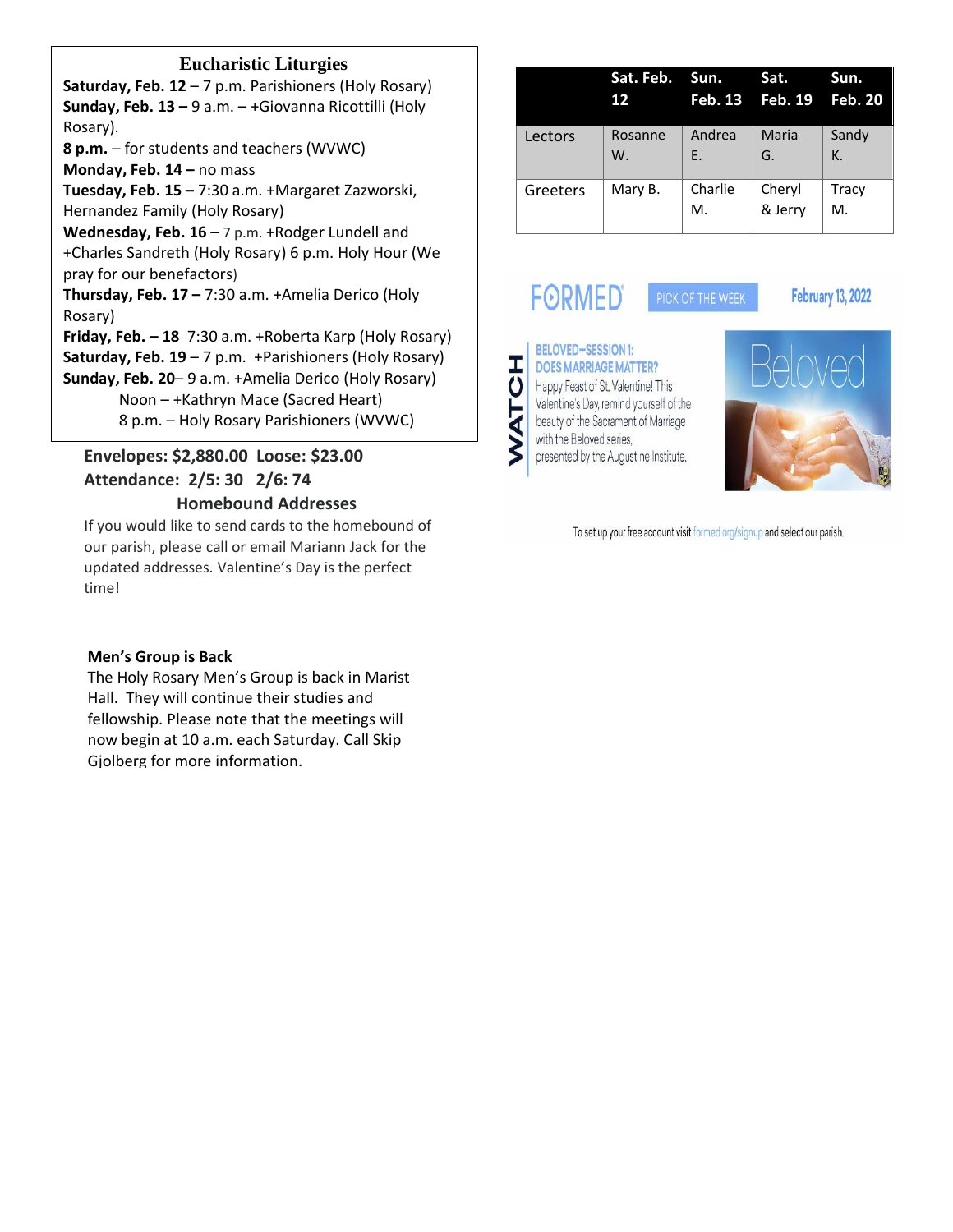#### **Eucharistic Liturgies**

**Saturday, Feb. 12** – 7 p.m. Parishioners (Holy Rosary) **Sunday, Feb. 13 –** 9 a.m. – +Giovanna Ricottilli (Holy Rosary). **8 p.m.** – for students and teachers (WVWC) **Monday, Feb. 14 –** no mass **Tuesday, Feb. 15 –** 7:30 a.m. +Margaret Zazworski, Hernandez Family (Holy Rosary) Wednesday, Feb. 16 - 7 p.m. +Rodger Lundell and +Charles Sandreth (Holy Rosary) 6 p.m. Holy Hour (We pray for our benefactors) **Thursday, Feb. 17 –** 7:30 a.m. +Amelia Derico (Holy Rosary) **Friday, Feb. – 18** 7:30 a.m. +Roberta Karp (Holy Rosary) **Saturday, Feb. 19** – 7 p.m. +Parishioners (Holy Rosary) **Sunday, Feb. 20**– 9 a.m. +Amelia Derico (Holy Rosary) Noon – +Kathryn Mace (Sacred Heart) 8 p.m. – Holy Rosary Parishioners (WVWC)

### **Envelopes: \$2,880.00 Loose: \$23.00 Attendance: 2/5: 30 2/6: 74**

#### **Homebound Addresses**

If you would like to send cards to the homebound of our parish, please call or email Mariann Jack for the updated addresses. Valentine's Day is the perfect time!

#### **Men's Group is Back**

The Holy Rosary Men's Group is back in Marist Hall. They will continue their studies and fellowship. Please note that the meetings will now begin at 10 a.m. each Saturday. Call Skip Gjolberg for more information.

|          | Sat. Feb. Sun.<br>12 |               | Sat.<br>Feb. 13 Feb. 19 Feb. 20 | Sun.        |
|----------|----------------------|---------------|---------------------------------|-------------|
| Lectors  | Rosanne<br>W.        | Andrea<br>E.  | Maria<br>G.                     | Sandy<br>К. |
| Greeters | Mary B.              | Charlie<br>М. | Cheryl<br>& Jerry               | Tracy<br>М. |

PICK OF THE WEEK

# **FORMED**

#### **February 13, 2022**





To set up your free account visit formed.org/signup and select our parish.